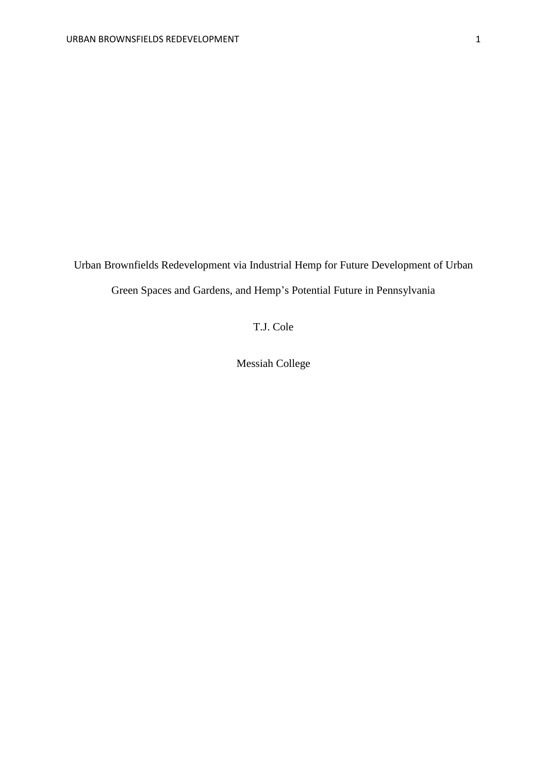Urban Brownfields Redevelopment via Industrial Hemp for Future Development of Urban Green Spaces and Gardens, and Hemp's Potential Future in Pennsylvania

T.J. Cole

Messiah College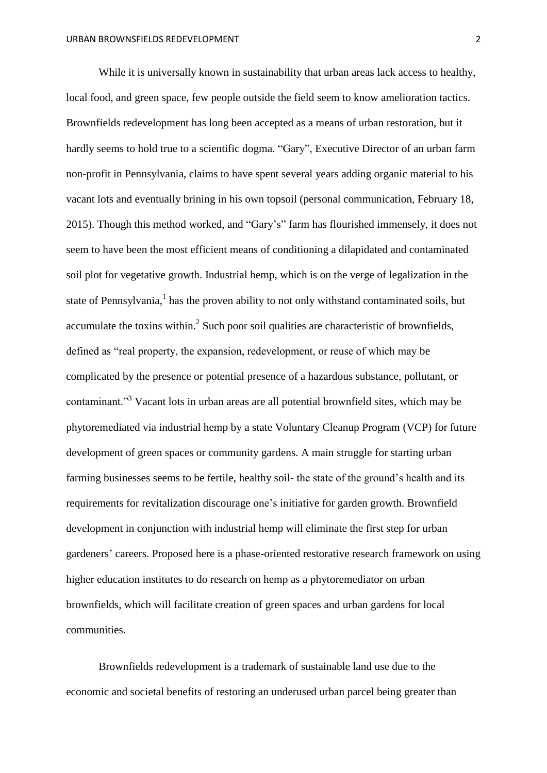While it is universally known in sustainability that urban areas lack access to healthy, local food, and green space, few people outside the field seem to know amelioration tactics. Brownfields redevelopment has long been accepted as a means of urban restoration, but it hardly seems to hold true to a scientific dogma. "Gary", Executive Director of an urban farm non-profit in Pennsylvania, claims to have spent several years adding organic material to his vacant lots and eventually brining in his own topsoil (personal communication, February 18, 2015). Though this method worked, and "Gary's" farm has flourished immensely, it does not seem to have been the most efficient means of conditioning a dilapidated and contaminated soil plot for vegetative growth. Industrial hemp, which is on the verge of legalization in the state of Pennsylvania,<sup>1</sup> has the proven ability to not only withstand contaminated soils, but accumulate the toxins within. $2$  Such poor soil qualities are characteristic of brownfields, defined as "real property, the expansion, redevelopment, or reuse of which may be complicated by the presence or potential presence of a hazardous substance, pollutant, or contaminant."<sup>3</sup> Vacant lots in urban areas are all potential brownfield sites, which may be phytoremediated via industrial hemp by a state Voluntary Cleanup Program (VCP) for future development of green spaces or community gardens. A main struggle for starting urban farming businesses seems to be fertile, healthy soil- the state of the ground's health and its requirements for revitalization discourage one's initiative for garden growth. Brownfield development in conjunction with industrial hemp will eliminate the first step for urban gardeners' careers. Proposed here is a phase-oriented restorative research framework on using higher education institutes to do research on hemp as a phytoremediator on urban brownfields, which will facilitate creation of green spaces and urban gardens for local communities.

Brownfields redevelopment is a trademark of sustainable land use due to the economic and societal benefits of restoring an underused urban parcel being greater than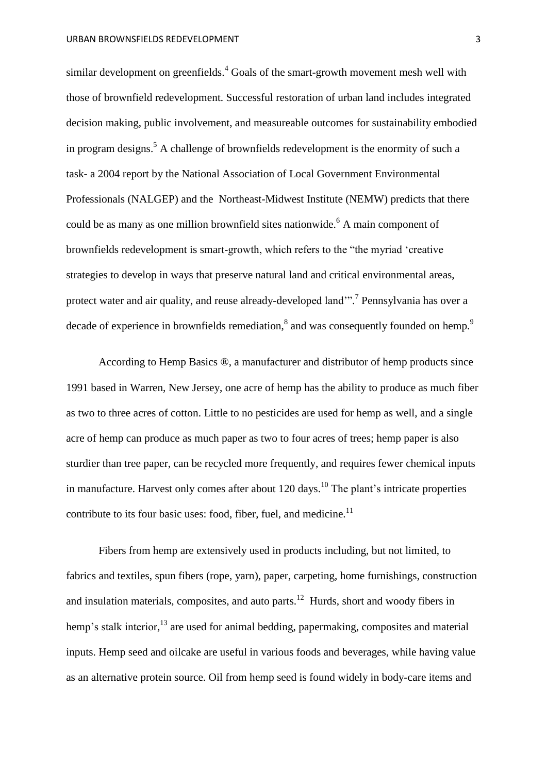similar development on greenfields.<sup>4</sup> Goals of the smart-growth movement mesh well with those of brownfield redevelopment. Successful restoration of urban land includes integrated decision making, public involvement, and measureable outcomes for sustainability embodied in program designs.<sup>5</sup> A challenge of brownfields redevelopment is the enormity of such a task- a 2004 report by the National Association of Local Government Environmental Professionals (NALGEP) and the Northeast-Midwest Institute (NEMW) predicts that there could be as many as one million brownfield sites nationwide.<sup>6</sup> A main component of brownfields redevelopment is smart-growth, which refers to the "the myriad 'creative strategies to develop in ways that preserve natural land and critical environmental areas, protect water and air quality, and reuse already-developed land"<sup>7</sup>. Pennsylvania has over a decade of experience in brownfields remediation,<sup>8</sup> and was consequently founded on hemp.<sup>9</sup>

According to Hemp Basics ®, a manufacturer and distributor of hemp products since 1991 based in Warren, New Jersey, one acre of hemp has the ability to produce as much fiber as two to three acres of cotton. Little to no pesticides are used for hemp as well, and a single acre of hemp can produce as much paper as two to four acres of trees; hemp paper is also sturdier than tree paper, can be recycled more frequently, and requires fewer chemical inputs in manufacture. Harvest only comes after about 120 days.<sup>10</sup> The plant's intricate properties contribute to its four basic uses: food, fiber, fuel, and medicine.<sup>11</sup>

Fibers from hemp are extensively used in products including, but not limited, to fabrics and textiles, spun fibers (rope, yarn), paper, carpeting, home furnishings, construction and insulation materials, composites, and auto parts. $12$  Hurds, short and woody fibers in hemp's stalk interior,<sup>13</sup> are used for animal bedding, papermaking, composites and material inputs. Hemp seed and oilcake are useful in various foods and beverages, while having value as an alternative protein source. Oil from hemp seed is found widely in body-care items and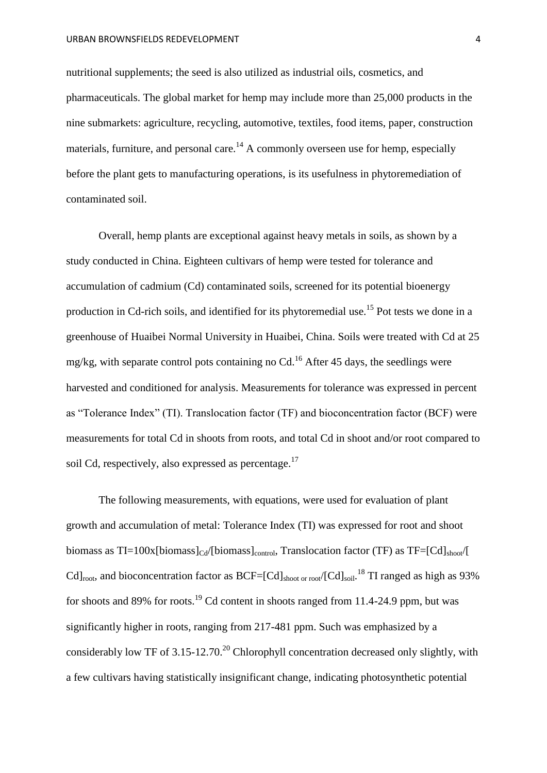nutritional supplements; the seed is also utilized as industrial oils, cosmetics, and pharmaceuticals. The global market for hemp may include more than 25,000 products in the nine submarkets: agriculture, recycling, automotive, textiles, food items, paper, construction materials, furniture, and personal care.<sup>14</sup> A commonly overseen use for hemp, especially before the plant gets to manufacturing operations, is its usefulness in phytoremediation of contaminated soil.

Overall, hemp plants are exceptional against heavy metals in soils, as shown by a study conducted in China. Eighteen cultivars of hemp were tested for tolerance and accumulation of cadmium (Cd) contaminated soils, screened for its potential bioenergy production in Cd-rich soils, and identified for its phytoremedial use.<sup>15</sup> Pot tests we done in a greenhouse of Huaibei Normal University in Huaibei, China. Soils were treated with Cd at 25 mg/kg, with separate control pots containing no  $Cd<sup>16</sup>$  After 45 days, the seedlings were harvested and conditioned for analysis. Measurements for tolerance was expressed in percent as "Tolerance Index" (TI). Translocation factor (TF) and bioconcentration factor (BCF) were measurements for total Cd in shoots from roots, and total Cd in shoot and/or root compared to soil Cd, respectively, also expressed as percentage.<sup>17</sup>

The following measurements, with equations, were used for evaluation of plant growth and accumulation of metal: Tolerance Index (TI) was expressed for root and shoot biomass as TI=100x[biomass] $_{Cd}$ /[biomass]<sub>control</sub>, Translocation factor (TF) as TF=[Cd] $_{shoo}$ /[ Cd]<sub>root</sub>, and bioconcentration factor as BCF=[Cd]<sub>shoot or root</sub>/[Cd]<sub>soil</sub>.<sup>18</sup> TI ranged as high as 93% for shoots and 89% for roots.<sup>19</sup> Cd content in shoots ranged from 11.4-24.9 ppm, but was significantly higher in roots, ranging from 217-481 ppm. Such was emphasized by a considerably low TF of  $3.15$ -12.70.<sup>20</sup> Chlorophyll concentration decreased only slightly, with a few cultivars having statistically insignificant change, indicating photosynthetic potential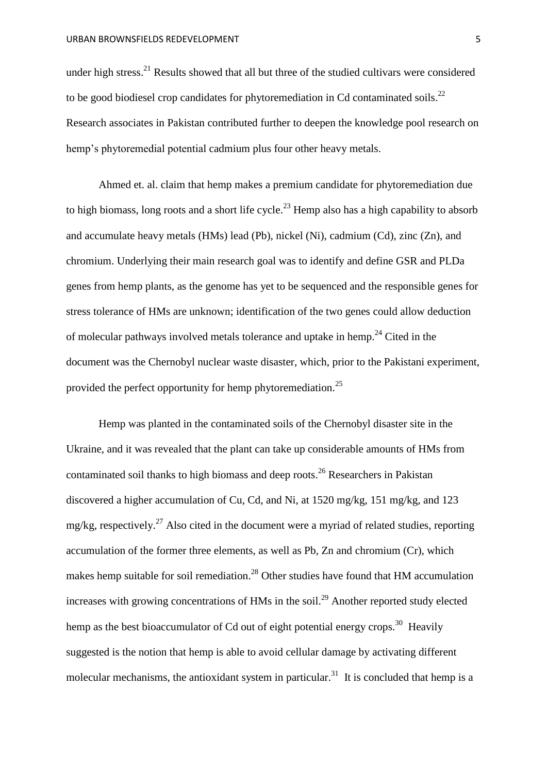under high stress.<sup>21</sup> Results showed that all but three of the studied cultivars were considered to be good biodiesel crop candidates for phytoremediation in Cd contaminated soils.<sup>22</sup> Research associates in Pakistan contributed further to deepen the knowledge pool research on hemp's phytoremedial potential cadmium plus four other heavy metals.

Ahmed et. al. claim that hemp makes a premium candidate for phytoremediation due to high biomass, long roots and a short life cycle.<sup>23</sup> Hemp also has a high capability to absorb and accumulate heavy metals (HMs) lead (Pb), nickel (Ni), cadmium (Cd), zinc (Zn), and chromium. Underlying their main research goal was to identify and define GSR and PLDa genes from hemp plants, as the genome has yet to be sequenced and the responsible genes for stress tolerance of HMs are unknown; identification of the two genes could allow deduction of molecular pathways involved metals tolerance and uptake in hemp.<sup>24</sup> Cited in the document was the Chernobyl nuclear waste disaster, which, prior to the Pakistani experiment, provided the perfect opportunity for hemp phytoremediation.<sup>25</sup>

Hemp was planted in the contaminated soils of the Chernobyl disaster site in the Ukraine, and it was revealed that the plant can take up considerable amounts of HMs from contaminated soil thanks to high biomass and deep roots. <sup>26</sup> Researchers in Pakistan discovered a higher accumulation of Cu, Cd, and Ni, at 1520 mg/kg, 151 mg/kg, and 123 mg/kg, respectively.<sup>27</sup> Also cited in the document were a myriad of related studies, reporting accumulation of the former three elements, as well as Pb, Zn and chromium (Cr), which makes hemp suitable for soil remediation.<sup>28</sup> Other studies have found that HM accumulation increases with growing concentrations of HMs in the soil.<sup>29</sup> Another reported study elected hemp as the best bioaccumulator of Cd out of eight potential energy crops.<sup>30</sup> Heavily suggested is the notion that hemp is able to avoid cellular damage by activating different molecular mechanisms, the antioxidant system in particular.<sup>31</sup> It is concluded that hemp is a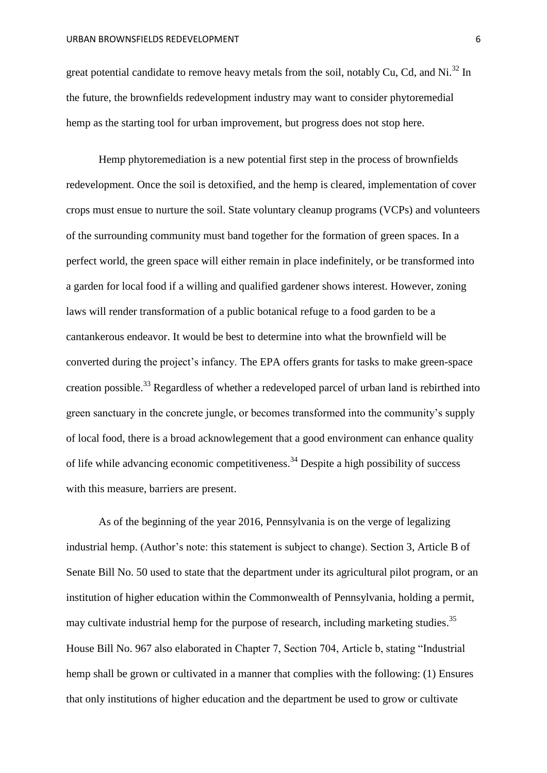great potential candidate to remove heavy metals from the soil, notably Cu, Cd, and Ni.<sup>32</sup> In the future, the brownfields redevelopment industry may want to consider phytoremedial hemp as the starting tool for urban improvement, but progress does not stop here.

Hemp phytoremediation is a new potential first step in the process of brownfields redevelopment. Once the soil is detoxified, and the hemp is cleared, implementation of cover crops must ensue to nurture the soil. State voluntary cleanup programs (VCPs) and volunteers of the surrounding community must band together for the formation of green spaces. In a perfect world, the green space will either remain in place indefinitely, or be transformed into a garden for local food if a willing and qualified gardener shows interest. However, zoning laws will render transformation of a public botanical refuge to a food garden to be a cantankerous endeavor. It would be best to determine into what the brownfield will be converted during the project's infancy. The EPA offers grants for tasks to make green-space creation possible.<sup>33</sup> Regardless of whether a redeveloped parcel of urban land is rebirthed into green sanctuary in the concrete jungle, or becomes transformed into the community's supply of local food, there is a broad acknowlegement that a good environment can enhance quality of life while advancing economic competitiveness.<sup>34</sup> Despite a high possibility of success with this measure, barriers are present.

As of the beginning of the year 2016, Pennsylvania is on the verge of legalizing industrial hemp. (Author's note: this statement is subject to change). Section 3, Article B of Senate Bill No. 50 used to state that the department under its agricultural pilot program, or an institution of higher education within the Commonwealth of Pennsylvania, holding a permit, may cultivate industrial hemp for the purpose of research, including marketing studies.<sup>35</sup> House Bill No. 967 also elaborated in Chapter 7, Section 704, Article b, stating "Industrial hemp shall be grown or cultivated in a manner that complies with the following: (1) Ensures that only institutions of higher education and the department be used to grow or cultivate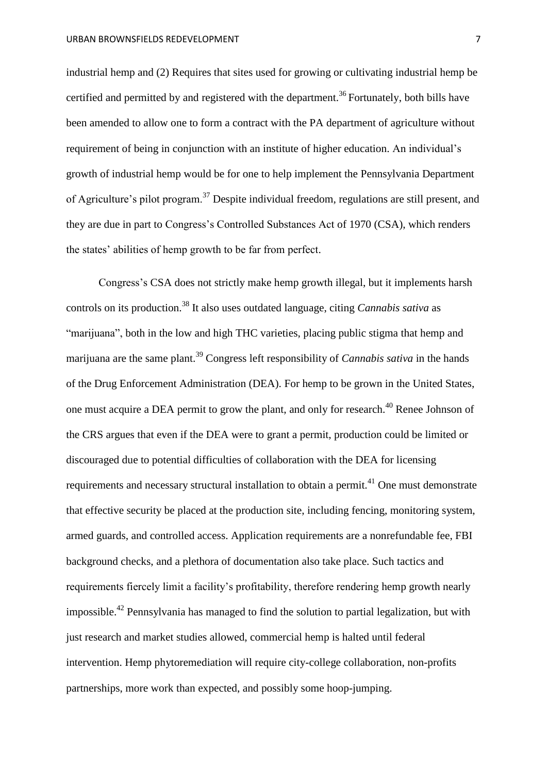industrial hemp and (2) Requires that sites used for growing or cultivating industrial hemp be certified and permitted by and registered with the department.<sup>36</sup> Fortunately, both bills have been amended to allow one to form a contract with the PA department of agriculture without requirement of being in conjunction with an institute of higher education. An individual's growth of industrial hemp would be for one to help implement the Pennsylvania Department of Agriculture's pilot program.<sup>37</sup> Despite individual freedom, regulations are still present, and they are due in part to Congress's Controlled Substances Act of 1970 (CSA), which renders the states' abilities of hemp growth to be far from perfect.

Congress's CSA does not strictly make hemp growth illegal, but it implements harsh controls on its production.<sup>38</sup> It also uses outdated language, citing *Cannabis sativa* as "marijuana", both in the low and high THC varieties, placing public stigma that hemp and marijuana are the same plant. <sup>39</sup> Congress left responsibility of *Cannabis sativa* in the hands of the Drug Enforcement Administration (DEA). For hemp to be grown in the United States, one must acquire a DEA permit to grow the plant, and only for research.<sup>40</sup> Renee Johnson of the CRS argues that even if the DEA were to grant a permit, production could be limited or discouraged due to potential difficulties of collaboration with the DEA for licensing requirements and necessary structural installation to obtain a permit.<sup>41</sup> One must demonstrate that effective security be placed at the production site, including fencing, monitoring system, armed guards, and controlled access. Application requirements are a nonrefundable fee, FBI background checks, and a plethora of documentation also take place. Such tactics and requirements fiercely limit a facility's profitability, therefore rendering hemp growth nearly impossible.<sup>42</sup> Pennsylvania has managed to find the solution to partial legalization, but with just research and market studies allowed, commercial hemp is halted until federal intervention. Hemp phytoremediation will require city-college collaboration, non-profits partnerships, more work than expected, and possibly some hoop-jumping.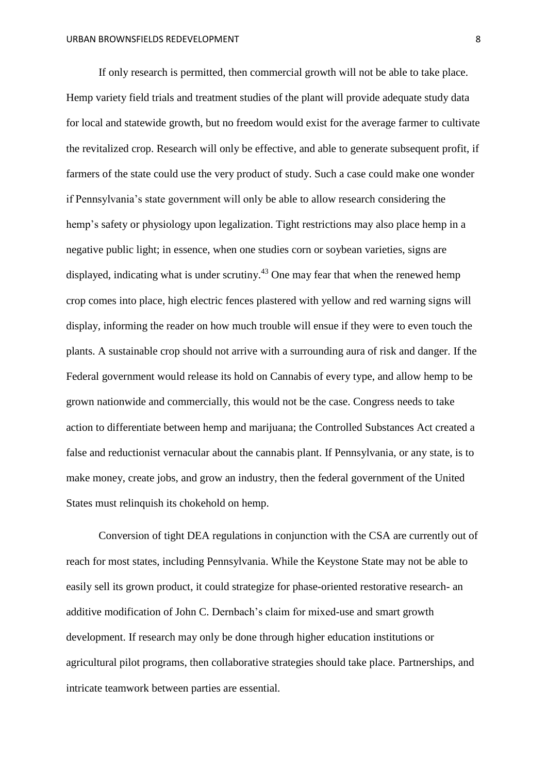If only research is permitted, then commercial growth will not be able to take place. Hemp variety field trials and treatment studies of the plant will provide adequate study data for local and statewide growth, but no freedom would exist for the average farmer to cultivate the revitalized crop. Research will only be effective, and able to generate subsequent profit, if farmers of the state could use the very product of study. Such a case could make one wonder if Pennsylvania's state government will only be able to allow research considering the hemp's safety or physiology upon legalization. Tight restrictions may also place hemp in a negative public light; in essence, when one studies corn or soybean varieties, signs are displayed, indicating what is under scrutiny.<sup>43</sup> One may fear that when the renewed hemp crop comes into place, high electric fences plastered with yellow and red warning signs will display, informing the reader on how much trouble will ensue if they were to even touch the plants. A sustainable crop should not arrive with a surrounding aura of risk and danger. If the Federal government would release its hold on Cannabis of every type, and allow hemp to be grown nationwide and commercially, this would not be the case. Congress needs to take action to differentiate between hemp and marijuana; the Controlled Substances Act created a false and reductionist vernacular about the cannabis plant. If Pennsylvania, or any state, is to make money, create jobs, and grow an industry, then the federal government of the United States must relinquish its chokehold on hemp.

Conversion of tight DEA regulations in conjunction with the CSA are currently out of reach for most states, including Pennsylvania. While the Keystone State may not be able to easily sell its grown product, it could strategize for phase-oriented restorative research- an additive modification of John C. Dernbach's claim for mixed-use and smart growth development. If research may only be done through higher education institutions or agricultural pilot programs, then collaborative strategies should take place. Partnerships, and intricate teamwork between parties are essential.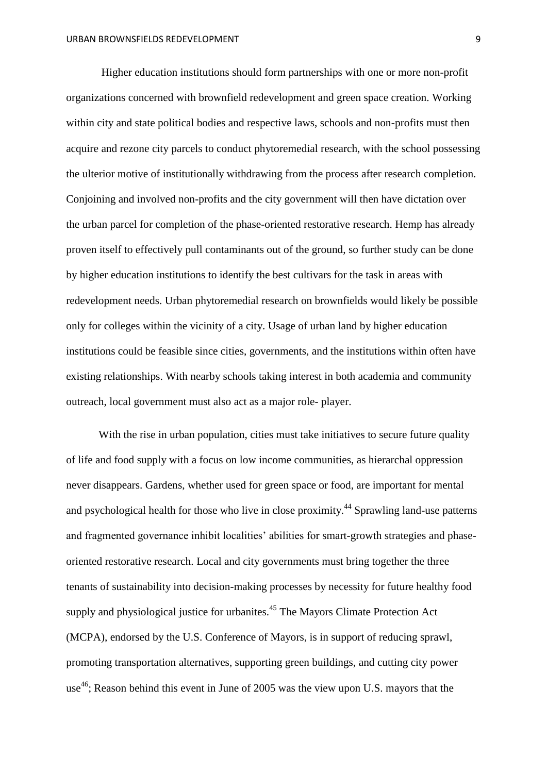Higher education institutions should form partnerships with one or more non-profit organizations concerned with brownfield redevelopment and green space creation. Working within city and state political bodies and respective laws, schools and non-profits must then acquire and rezone city parcels to conduct phytoremedial research, with the school possessing the ulterior motive of institutionally withdrawing from the process after research completion. Conjoining and involved non-profits and the city government will then have dictation over the urban parcel for completion of the phase-oriented restorative research. Hemp has already proven itself to effectively pull contaminants out of the ground, so further study can be done by higher education institutions to identify the best cultivars for the task in areas with redevelopment needs. Urban phytoremedial research on brownfields would likely be possible only for colleges within the vicinity of a city. Usage of urban land by higher education institutions could be feasible since cities, governments, and the institutions within often have existing relationships. With nearby schools taking interest in both academia and community outreach, local government must also act as a major role- player.

With the rise in urban population, cities must take initiatives to secure future quality of life and food supply with a focus on low income communities, as hierarchal oppression never disappears. Gardens, whether used for green space or food, are important for mental and psychological health for those who live in close proximity.<sup>44</sup> Sprawling land-use patterns and fragmented governance inhibit localities' abilities for smart-growth strategies and phaseoriented restorative research. Local and city governments must bring together the three tenants of sustainability into decision-making processes by necessity for future healthy food supply and physiological justice for urbanites.<sup>45</sup> The Mayors Climate Protection Act (MCPA), endorsed by the U.S. Conference of Mayors, is in support of reducing sprawl, promoting transportation alternatives, supporting green buildings, and cutting city power use<sup>46</sup>; Reason behind this event in June of 2005 was the view upon U.S. mayors that the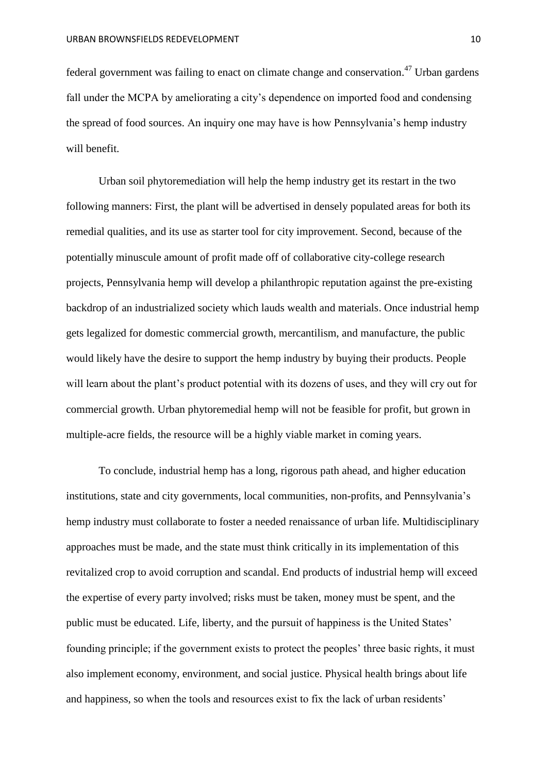federal government was failing to enact on climate change and conservation.<sup>47</sup> Urban gardens fall under the MCPA by ameliorating a city's dependence on imported food and condensing the spread of food sources. An inquiry one may have is how Pennsylvania's hemp industry will benefit.

Urban soil phytoremediation will help the hemp industry get its restart in the two following manners: First, the plant will be advertised in densely populated areas for both its remedial qualities, and its use as starter tool for city improvement. Second, because of the potentially minuscule amount of profit made off of collaborative city-college research projects, Pennsylvania hemp will develop a philanthropic reputation against the pre-existing backdrop of an industrialized society which lauds wealth and materials. Once industrial hemp gets legalized for domestic commercial growth, mercantilism, and manufacture, the public would likely have the desire to support the hemp industry by buying their products. People will learn about the plant's product potential with its dozens of uses, and they will cry out for commercial growth. Urban phytoremedial hemp will not be feasible for profit, but grown in multiple-acre fields, the resource will be a highly viable market in coming years.

To conclude, industrial hemp has a long, rigorous path ahead, and higher education institutions, state and city governments, local communities, non-profits, and Pennsylvania's hemp industry must collaborate to foster a needed renaissance of urban life. Multidisciplinary approaches must be made, and the state must think critically in its implementation of this revitalized crop to avoid corruption and scandal. End products of industrial hemp will exceed the expertise of every party involved; risks must be taken, money must be spent, and the public must be educated. Life, liberty, and the pursuit of happiness is the United States' founding principle; if the government exists to protect the peoples' three basic rights, it must also implement economy, environment, and social justice. Physical health brings about life and happiness, so when the tools and resources exist to fix the lack of urban residents'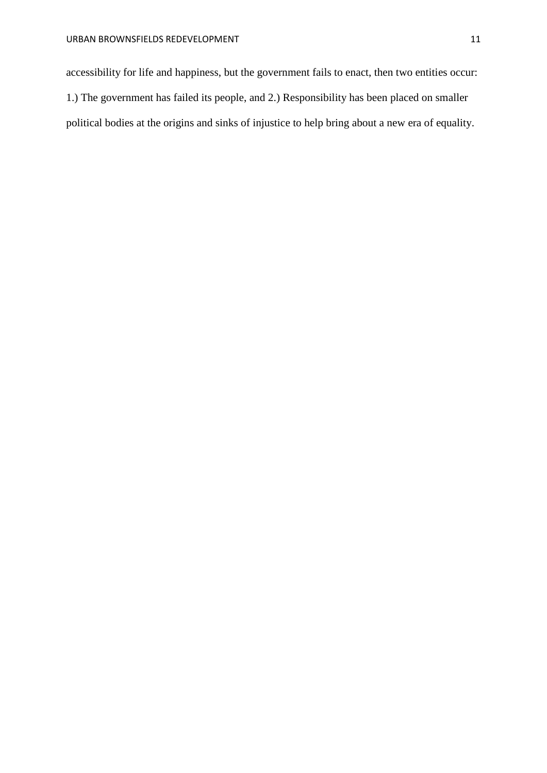accessibility for life and happiness, but the government fails to enact, then two entities occur: 1.) The government has failed its people, and 2.) Responsibility has been placed on smaller political bodies at the origins and sinks of injustice to help bring about a new era of equality.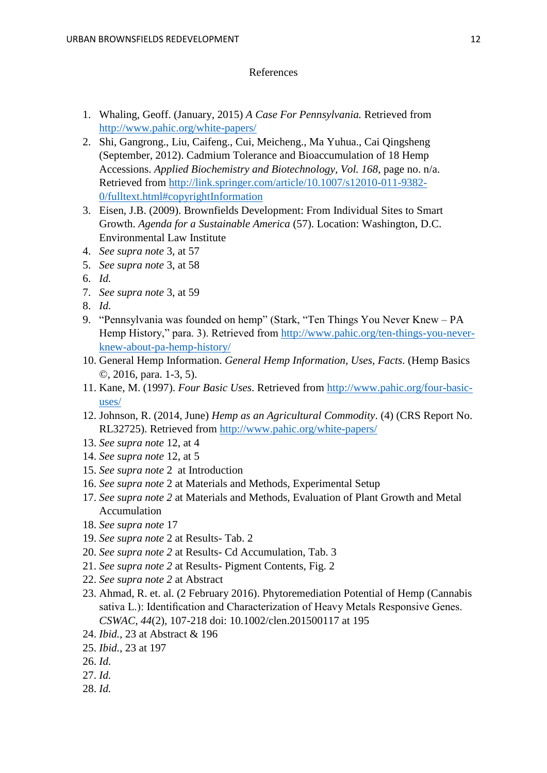## References

- 1. Whaling, Geoff. (January, 2015) *A Case For Pennsylvania.* Retrieved from <http://www.pahic.org/white-papers/>
- 2. Shi, Gangrong., Liu, Caifeng., Cui, Meicheng., Ma Yuhua., Cai Qingsheng (September, 2012). Cadmium Tolerance and Bioaccumulation of 18 Hemp Accessions. *Applied Biochemistry and Biotechnology, Vol. 168*, page no. n/a. Retrieved from [http://link.springer.com/article/10.1007/s12010-011-9382-](http://link.springer.com/article/10.1007/s12010-011-9382-0/fulltext.html#copyrightInformation) [0/fulltext.html#copyrightInformation](http://link.springer.com/article/10.1007/s12010-011-9382-0/fulltext.html#copyrightInformation)
- 3. Eisen, J.B. (2009). Brownfields Development: From Individual Sites to Smart Growth. *Agenda for a Sustainable America* (57). Location: Washington, D.C. Environmental Law Institute
- 4. *See supra note* 3, at 57
- 5. *See supra note* 3, at 58
- 6. *Id.*
- 7. *See supra note* 3, at 59
- 8. *Id.*
- 9. "Pennsylvania was founded on hemp" (Stark, "Ten Things You Never Knew PA Hemp History," para. 3). Retrieved from [http://www.pahic.org/ten-things-you-never](http://www.pahic.org/ten-things-you-never-knew-about-pa-hemp-history/)[knew-about-pa-hemp-history/](http://www.pahic.org/ten-things-you-never-knew-about-pa-hemp-history/)
- 10. General Hemp Information. *General Hemp Information, Uses, Facts*. (Hemp Basics ©, 2016, para. 1-3, 5).
- 11. Kane, M. (1997). *Four Basic Uses*. Retrieved from [http://www.pahic.org/four-basic](http://www.pahic.org/four-basic-uses/)[uses/](http://www.pahic.org/four-basic-uses/)
- 12. Johnson, R. (2014, June) *Hemp as an Agricultural Commodity*. (4) (CRS Report No. RL32725). Retrieved from<http://www.pahic.org/white-papers/>
- 13. *See supra note* 12, at 4
- 14. *See supra note* 12, at 5
- 15. *See supra note* 2 at Introduction
- 16. *See supra note* 2 at Materials and Methods, Experimental Setup
- 17. *See supra note 2* at Materials and Methods, Evaluation of Plant Growth and Metal Accumulation
- 18. *See supra note* 17
- 19. *See supra note* 2 at Results- Tab. 2
- 20. *See supra note 2* at Results- Cd Accumulation, Tab. 3
- 21. *See supra note 2* at Results- Pigment Contents, Fig. 2
- 22. *See supra note 2* at Abstract
- 23. Ahmad, R. et. al. (2 February 2016). Phytoremediation Potential of Hemp (Cannabis sativa L.): Identification and Characterization of Heavy Metals Responsive Genes. *CSWAC, 44*(2)*,* 107-218 doi: 10.1002/clen.201500117 at 195
- 24. *Ibid.,* 23 at Abstract & 196
- 25. *Ibid.,* 23 at 197
- 26. *Id.*
- 27. *Id.*
- 28. *Id.*